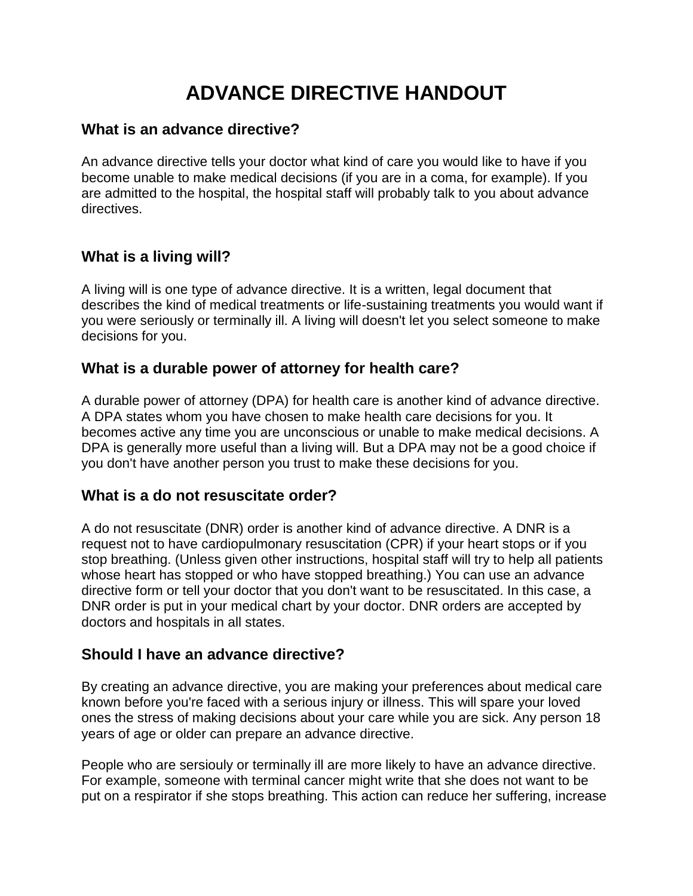# **ADVANCE DIRECTIVE HANDOUT**

#### **What is an advance directive?**

An advance directive tells your doctor what kind of care you would like to have if you become unable to make medical decisions (if you are in a coma, for example). If you are admitted to the hospital, the hospital staff will probably talk to you about advance directives.

## **What is a living will?**

A living will is one type of advance directive. It is a written, legal document that describes the kind of medical treatments or life-sustaining treatments you would want if you were seriously or terminally ill. A living will doesn't let you select someone to make decisions for you.

#### **What is a durable power of attorney for health care?**

A durable power of attorney (DPA) for health care is another kind of advance directive. A DPA states whom you have chosen to make health care decisions for you. It becomes active any time you are unconscious or unable to make medical decisions. A DPA is generally more useful than a living will. But a DPA may not be a good choice if you don't have another person you trust to make these decisions for you.

#### **What is a do not resuscitate order?**

A do not resuscitate (DNR) order is another kind of advance directive. A DNR is a request not to have cardiopulmonary resuscitation (CPR) if your heart stops or if you stop breathing. (Unless given other instructions, hospital staff will try to help all patients whose heart has stopped or who have stopped breathing.) You can use an advance directive form or tell your doctor that you don't want to be resuscitated. In this case, a DNR order is put in your medical chart by your doctor. DNR orders are accepted by doctors and hospitals in all states.

#### **Should I have an advance directive?**

By creating an advance directive, you are making your preferences about medical care known before you're faced with a serious injury or illness. This will spare your loved ones the stress of making decisions about your care while you are sick. Any person 18 years of age or older can prepare an advance directive.

People who are sersiouly or terminally ill are more likely to have an advance directive. For example, someone with terminal cancer might write that she does not want to be put on a respirator if she stops breathing. This action can reduce her suffering, increase